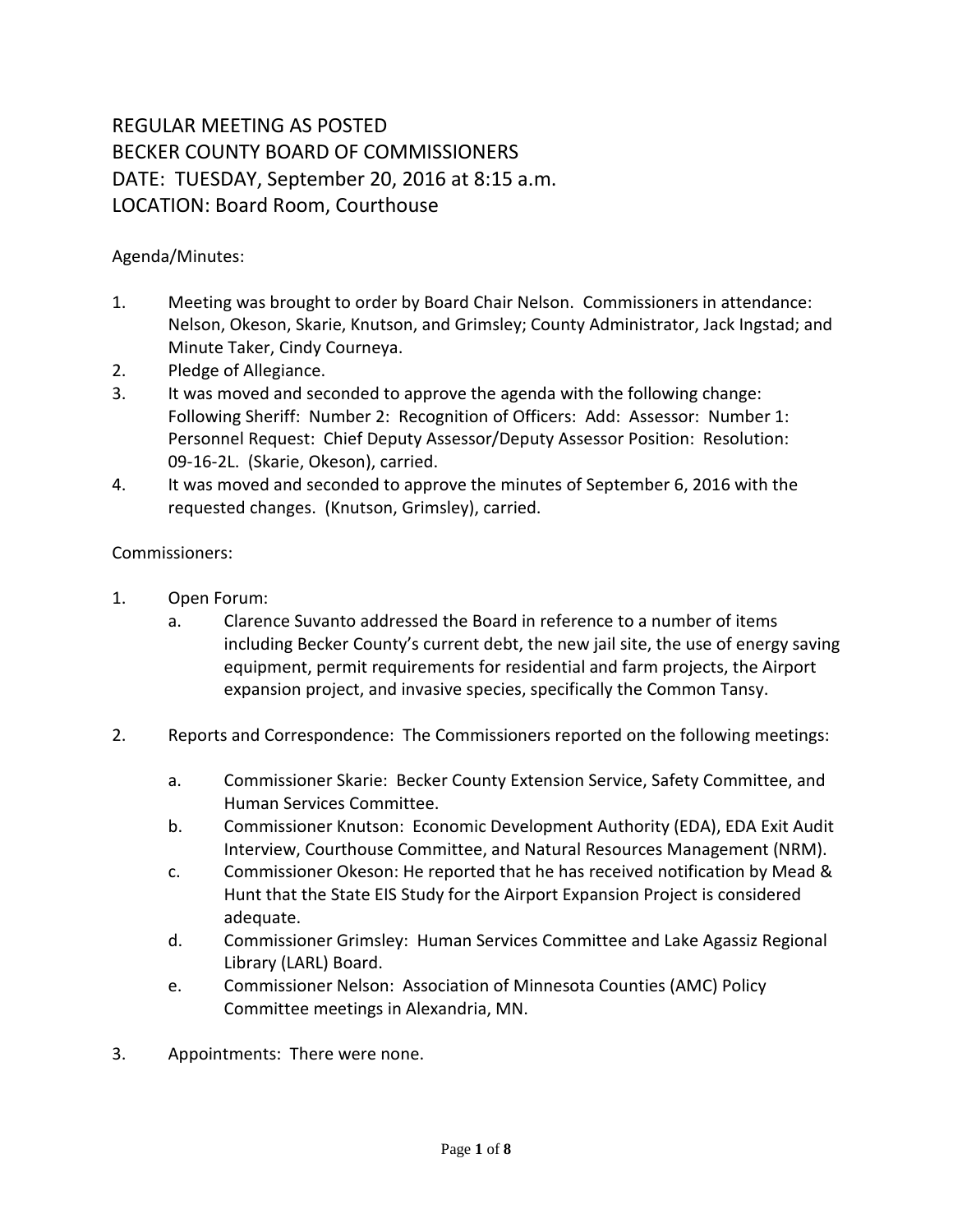## REGULAR MEETING AS POSTED BECKER COUNTY BOARD OF COMMISSIONERS DATE: TUESDAY, September 20, 2016 at 8:15 a.m. LOCATION: Board Room, Courthouse

## Agenda/Minutes:

- 1. Meeting was brought to order by Board Chair Nelson. Commissioners in attendance: Nelson, Okeson, Skarie, Knutson, and Grimsley; County Administrator, Jack Ingstad; and Minute Taker, Cindy Courneya.
- 2. Pledge of Allegiance.
- 3. It was moved and seconded to approve the agenda with the following change: Following Sheriff: Number 2: Recognition of Officers: Add: Assessor: Number 1: Personnel Request: Chief Deputy Assessor/Deputy Assessor Position: Resolution: 09-16-2L. (Skarie, Okeson), carried.
- 4. It was moved and seconded to approve the minutes of September 6, 2016 with the requested changes. (Knutson, Grimsley), carried.

## Commissioners:

- 1. Open Forum:
	- a. Clarence Suvanto addressed the Board in reference to a number of items including Becker County's current debt, the new jail site, the use of energy saving equipment, permit requirements for residential and farm projects, the Airport expansion project, and invasive species, specifically the Common Tansy.
- 2. Reports and Correspondence: The Commissioners reported on the following meetings:
	- a. Commissioner Skarie: Becker County Extension Service, Safety Committee, and Human Services Committee.
	- b. Commissioner Knutson: Economic Development Authority (EDA), EDA Exit Audit Interview, Courthouse Committee, and Natural Resources Management (NRM).
	- c. Commissioner Okeson: He reported that he has received notification by Mead & Hunt that the State EIS Study for the Airport Expansion Project is considered adequate.
	- d. Commissioner Grimsley: Human Services Committee and Lake Agassiz Regional Library (LARL) Board.
	- e. Commissioner Nelson: Association of Minnesota Counties (AMC) Policy Committee meetings in Alexandria, MN.
- 3. Appointments: There were none.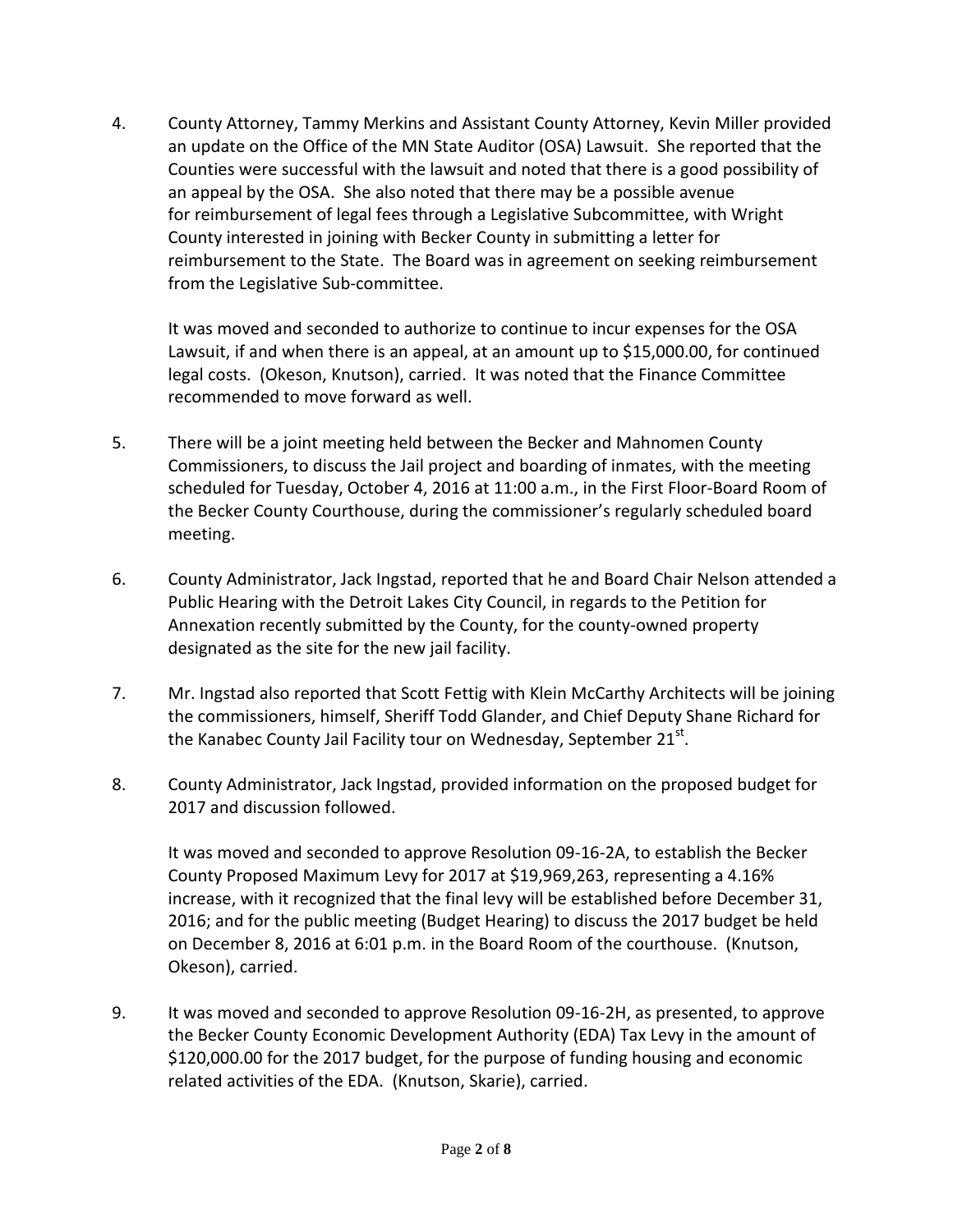4. County Attorney, Tammy Merkins and Assistant County Attorney, Kevin Miller provided an update on the Office of the MN State Auditor (OSA) Lawsuit. She reported that the Counties were successful with the lawsuit and noted that there is a good possibility of an appeal by the OSA. She also noted that there may be a possible avenue for reimbursement of legal fees through a Legislative Subcommittee, with Wright County interested in joining with Becker County in submitting a letter for reimbursement to the State. The Board was in agreement on seeking reimbursement from the Legislative Sub-committee.

It was moved and seconded to authorize to continue to incur expenses for the OSA Lawsuit, if and when there is an appeal, at an amount up to \$15,000.00, for continued legal costs. (Okeson, Knutson), carried. It was noted that the Finance Committee recommended to move forward as well.

- 5. There will be a joint meeting held between the Becker and Mahnomen County Commissioners, to discuss the Jail project and boarding of inmates, with the meeting scheduled for Tuesday, October 4, 2016 at 11:00 a.m., in the First Floor-Board Room of the Becker County Courthouse, during the commissioner's regularly scheduled board meeting.
- 6. County Administrator, Jack Ingstad, reported that he and Board Chair Nelson attended a Public Hearing with the Detroit Lakes City Council, in regards to the Petition for Annexation recently submitted by the County, for the county-owned property designated as the site for the new jail facility.
- 7. Mr. Ingstad also reported that Scott Fettig with Klein McCarthy Architects will be joining the commissioners, himself, Sheriff Todd Glander, and Chief Deputy Shane Richard for the Kanabec County Jail Facility tour on Wednesday, September  $21^{st}$ .
- 8. County Administrator, Jack Ingstad, provided information on the proposed budget for 2017 and discussion followed.

It was moved and seconded to approve Resolution 09-16-2A, to establish the Becker County Proposed Maximum Levy for 2017 at \$19,969,263, representing a 4.16% increase, with it recognized that the final levy will be established before December 31, 2016; and for the public meeting (Budget Hearing) to discuss the 2017 budget be held on December 8, 2016 at 6:01 p.m. in the Board Room of the courthouse. (Knutson, Okeson), carried.

9. It was moved and seconded to approve Resolution 09-16-2H, as presented, to approve the Becker County Economic Development Authority (EDA) Tax Levy in the amount of \$120,000.00 for the 2017 budget, for the purpose of funding housing and economic related activities of the EDA. (Knutson, Skarie), carried.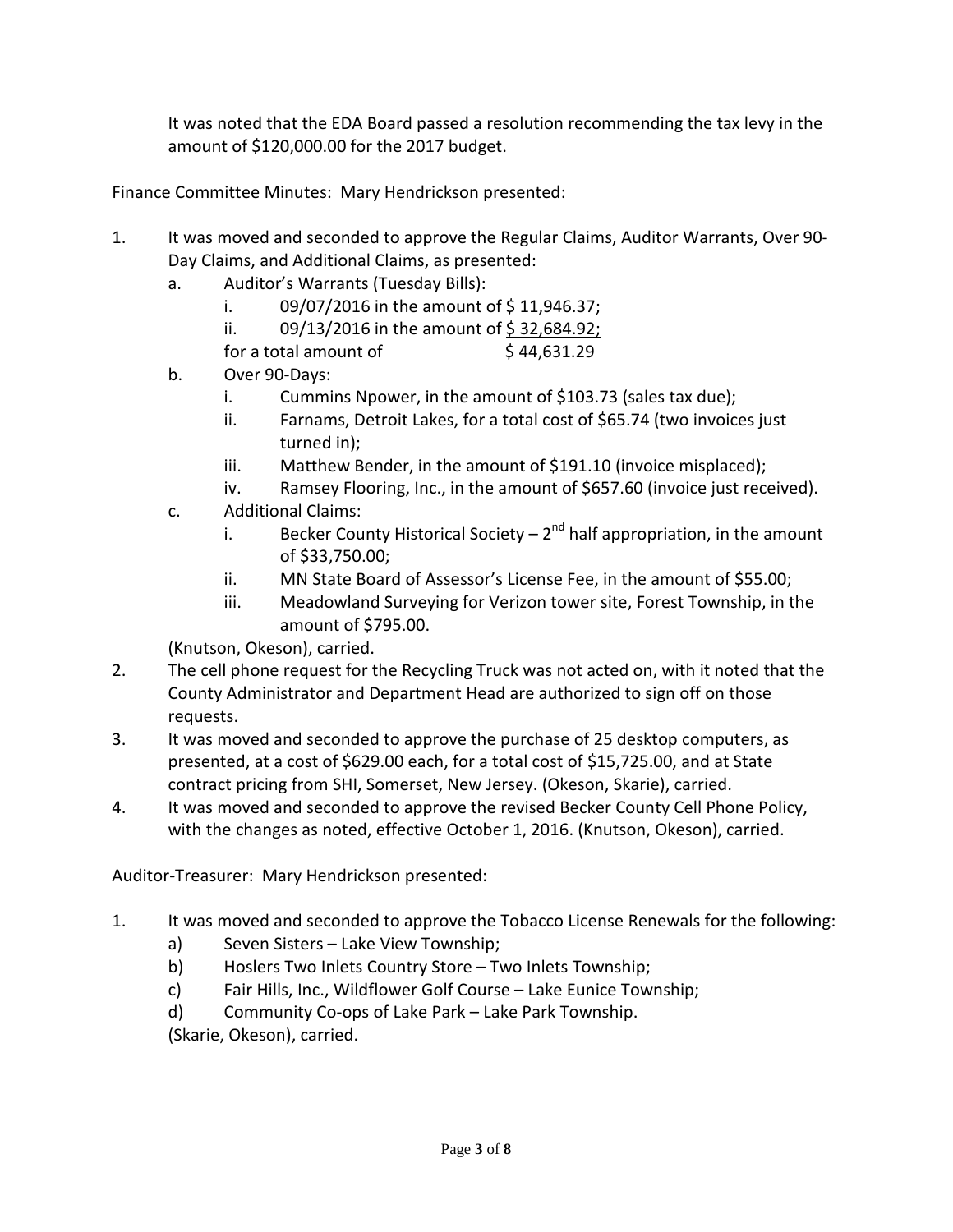It was noted that the EDA Board passed a resolution recommending the tax levy in the amount of \$120,000.00 for the 2017 budget.

Finance Committee Minutes: Mary Hendrickson presented:

- 1. It was moved and seconded to approve the Regular Claims, Auditor Warrants, Over 90- Day Claims, and Additional Claims, as presented:
	- a. Auditor's Warrants (Tuesday Bills):
		- i.  $09/07/2016$  in the amount of \$11,946.37;
		- ii. 09/13/2016 in the amount of  $\frac{6}{5}$  32,684.92;
		- for a total amount of  $\frac{1}{2}$  44,631.29
	- b. Over 90-Days:
		- i. Cummins Npower, in the amount of \$103.73 (sales tax due);
		- ii. Farnams, Detroit Lakes, for a total cost of \$65.74 (two invoices just turned in);
		- iii. Matthew Bender, in the amount of \$191.10 (invoice misplaced);
		- iv. Ramsey Flooring, Inc., in the amount of \$657.60 (invoice just received).
	- c. Additional Claims:
		- i. Becker County Historical Society  $2^{nd}$  half appropriation, in the amount of \$33,750.00;
		- ii. MN State Board of Assessor's License Fee, in the amount of \$55.00;
		- iii. Meadowland Surveying for Verizon tower site, Forest Township, in the amount of \$795.00.

(Knutson, Okeson), carried.

- 2. The cell phone request for the Recycling Truck was not acted on, with it noted that the County Administrator and Department Head are authorized to sign off on those requests.
- 3. It was moved and seconded to approve the purchase of 25 desktop computers, as presented, at a cost of \$629.00 each, for a total cost of \$15,725.00, and at State contract pricing from SHI, Somerset, New Jersey. (Okeson, Skarie), carried.
- 4. It was moved and seconded to approve the revised Becker County Cell Phone Policy, with the changes as noted, effective October 1, 2016. (Knutson, Okeson), carried.

Auditor-Treasurer: Mary Hendrickson presented:

- 1. It was moved and seconded to approve the Tobacco License Renewals for the following:
	- a) Seven Sisters Lake View Township;
	- b) Hoslers Two Inlets Country Store Two Inlets Township;
	- c) Fair Hills, Inc., Wildflower Golf Course Lake Eunice Township;
	- d) Community Co-ops of Lake Park Lake Park Township.

(Skarie, Okeson), carried.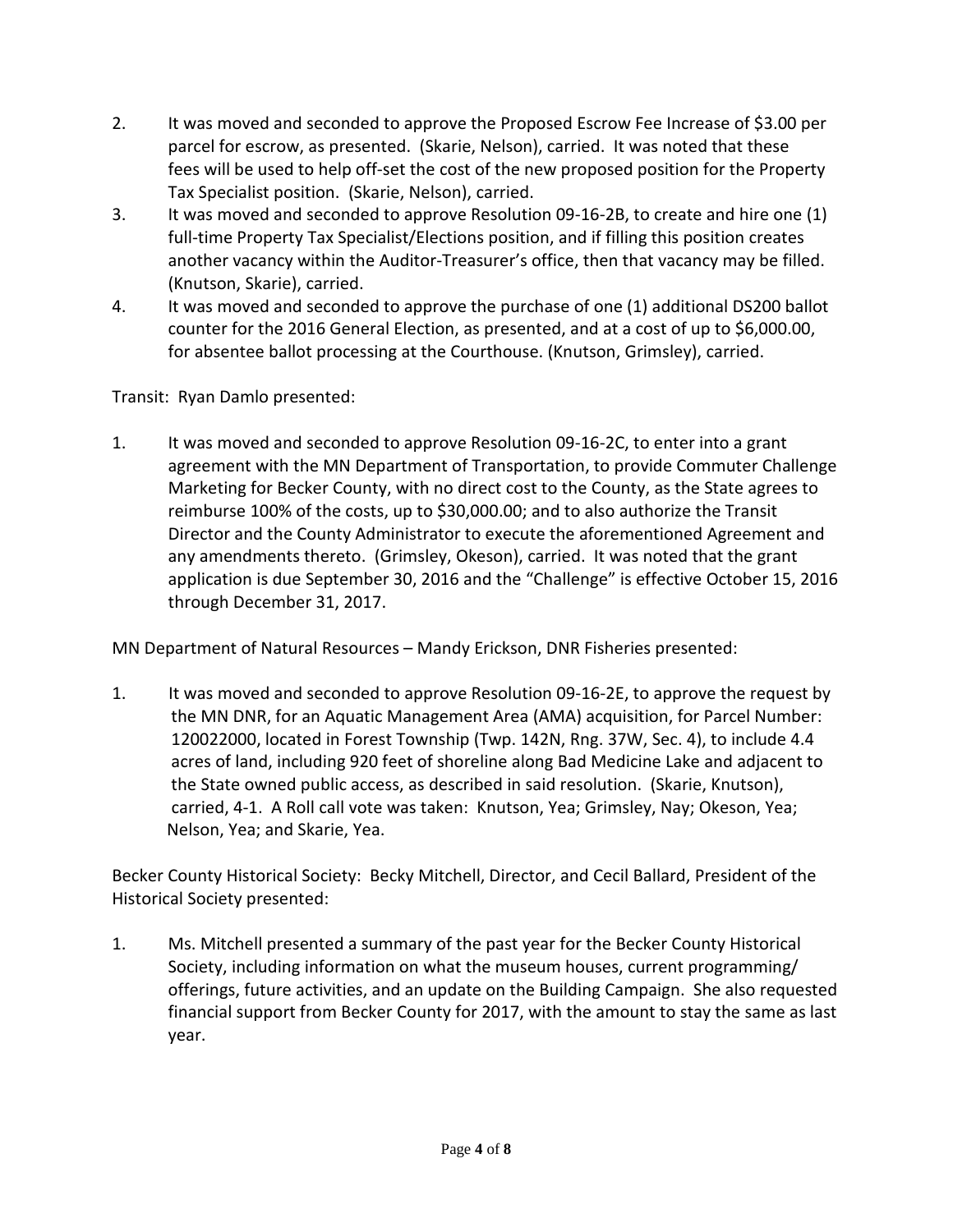- 2. It was moved and seconded to approve the Proposed Escrow Fee Increase of \$3.00 per parcel for escrow, as presented. (Skarie, Nelson), carried. It was noted that these fees will be used to help off-set the cost of the new proposed position for the Property Tax Specialist position. (Skarie, Nelson), carried.
- 3. It was moved and seconded to approve Resolution 09-16-2B, to create and hire one (1) full-time Property Tax Specialist/Elections position, and if filling this position creates another vacancy within the Auditor-Treasurer's office, then that vacancy may be filled. (Knutson, Skarie), carried.
- 4. It was moved and seconded to approve the purchase of one (1) additional DS200 ballot counter for the 2016 General Election, as presented, and at a cost of up to \$6,000.00, for absentee ballot processing at the Courthouse. (Knutson, Grimsley), carried.

Transit: Ryan Damlo presented:

1. It was moved and seconded to approve Resolution 09-16-2C, to enter into a grant agreement with the MN Department of Transportation, to provide Commuter Challenge Marketing for Becker County, with no direct cost to the County, as the State agrees to reimburse 100% of the costs, up to \$30,000.00; and to also authorize the Transit Director and the County Administrator to execute the aforementioned Agreement and any amendments thereto. (Grimsley, Okeson), carried. It was noted that the grant application is due September 30, 2016 and the "Challenge" is effective October 15, 2016 through December 31, 2017.

MN Department of Natural Resources – Mandy Erickson, DNR Fisheries presented:

1. It was moved and seconded to approve Resolution 09-16-2E, to approve the request by the MN DNR, for an Aquatic Management Area (AMA) acquisition, for Parcel Number: 120022000, located in Forest Township (Twp. 142N, Rng. 37W, Sec. 4), to include 4.4 acres of land, including 920 feet of shoreline along Bad Medicine Lake and adjacent to the State owned public access, as described in said resolution. (Skarie, Knutson), carried, 4-1. A Roll call vote was taken: Knutson, Yea; Grimsley, Nay; Okeson, Yea; Nelson, Yea; and Skarie, Yea.

Becker County Historical Society: Becky Mitchell, Director, and Cecil Ballard, President of the Historical Society presented:

1. Ms. Mitchell presented a summary of the past year for the Becker County Historical Society, including information on what the museum houses, current programming/ offerings, future activities, and an update on the Building Campaign. She also requested financial support from Becker County for 2017, with the amount to stay the same as last year.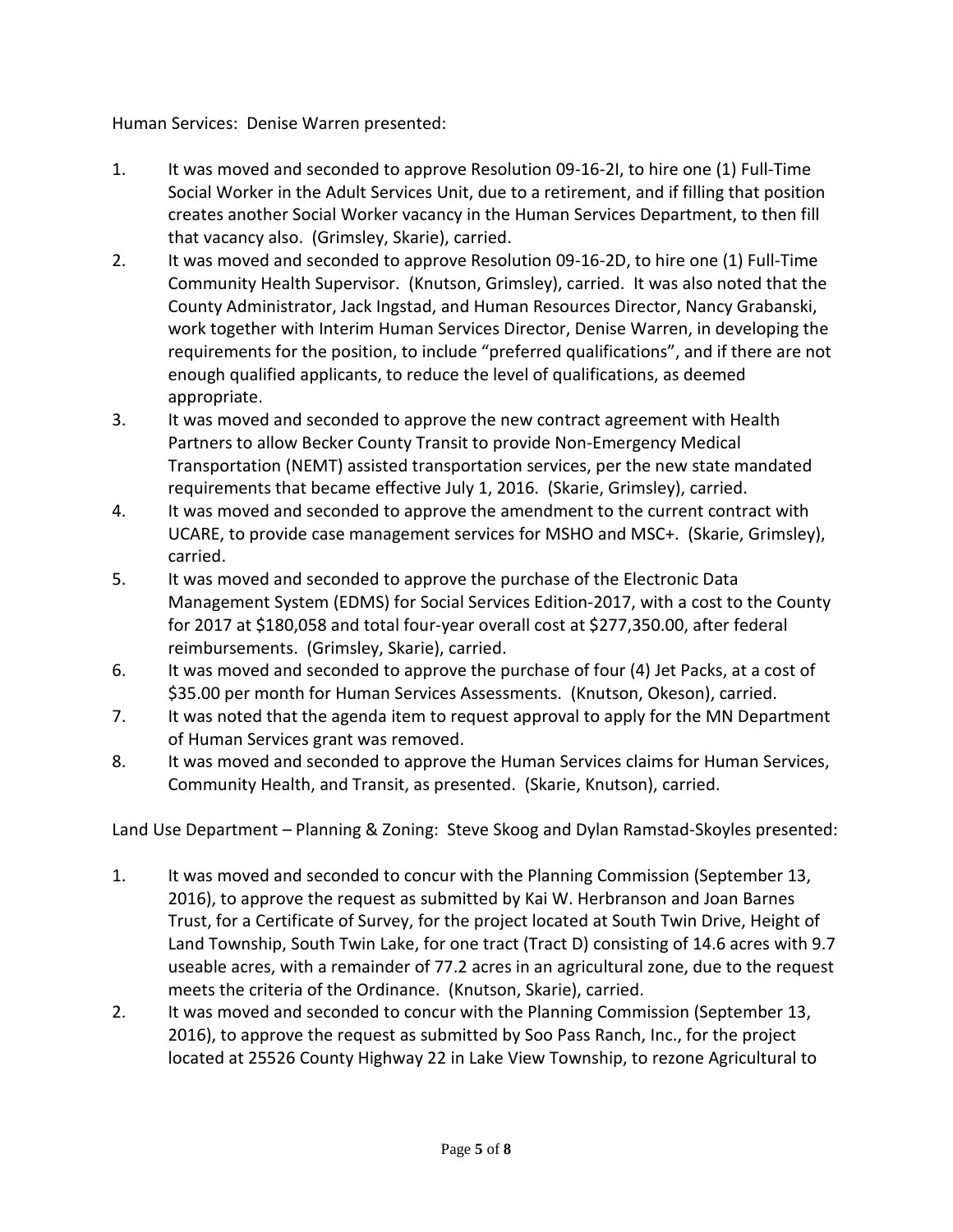Human Services: Denise Warren presented:

- 1. It was moved and seconded to approve Resolution 09-16-2I, to hire one (1) Full-Time Social Worker in the Adult Services Unit, due to a retirement, and if filling that position creates another Social Worker vacancy in the Human Services Department, to then fill that vacancy also. (Grimsley, Skarie), carried.
- 2. It was moved and seconded to approve Resolution 09-16-2D, to hire one (1) Full-Time Community Health Supervisor. (Knutson, Grimsley), carried. It was also noted that the County Administrator, Jack Ingstad, and Human Resources Director, Nancy Grabanski, work together with Interim Human Services Director, Denise Warren, in developing the requirements for the position, to include "preferred qualifications", and if there are not enough qualified applicants, to reduce the level of qualifications, as deemed appropriate.
- 3. It was moved and seconded to approve the new contract agreement with Health Partners to allow Becker County Transit to provide Non-Emergency Medical Transportation (NEMT) assisted transportation services, per the new state mandated requirements that became effective July 1, 2016. (Skarie, Grimsley), carried.
- 4. It was moved and seconded to approve the amendment to the current contract with UCARE, to provide case management services for MSHO and MSC+. (Skarie, Grimsley), carried.
- 5. It was moved and seconded to approve the purchase of the Electronic Data Management System (EDMS) for Social Services Edition-2017, with a cost to the County for 2017 at \$180,058 and total four-year overall cost at \$277,350.00, after federal reimbursements. (Grimsley, Skarie), carried.
- 6. It was moved and seconded to approve the purchase of four (4) Jet Packs, at a cost of \$35.00 per month for Human Services Assessments. (Knutson, Okeson), carried.
- 7. It was noted that the agenda item to request approval to apply for the MN Department of Human Services grant was removed.
- 8. It was moved and seconded to approve the Human Services claims for Human Services, Community Health, and Transit, as presented. (Skarie, Knutson), carried.

Land Use Department – Planning & Zoning: Steve Skoog and Dylan Ramstad-Skoyles presented:

- 1. It was moved and seconded to concur with the Planning Commission (September 13, 2016), to approve the request as submitted by Kai W. Herbranson and Joan Barnes Trust, for a Certificate of Survey, for the project located at South Twin Drive, Height of Land Township, South Twin Lake, for one tract (Tract D) consisting of 14.6 acres with 9.7 useable acres, with a remainder of 77.2 acres in an agricultural zone, due to the request meets the criteria of the Ordinance. (Knutson, Skarie), carried.
- 2. It was moved and seconded to concur with the Planning Commission (September 13, 2016), to approve the request as submitted by Soo Pass Ranch, Inc., for the project located at 25526 County Highway 22 in Lake View Township, to rezone Agricultural to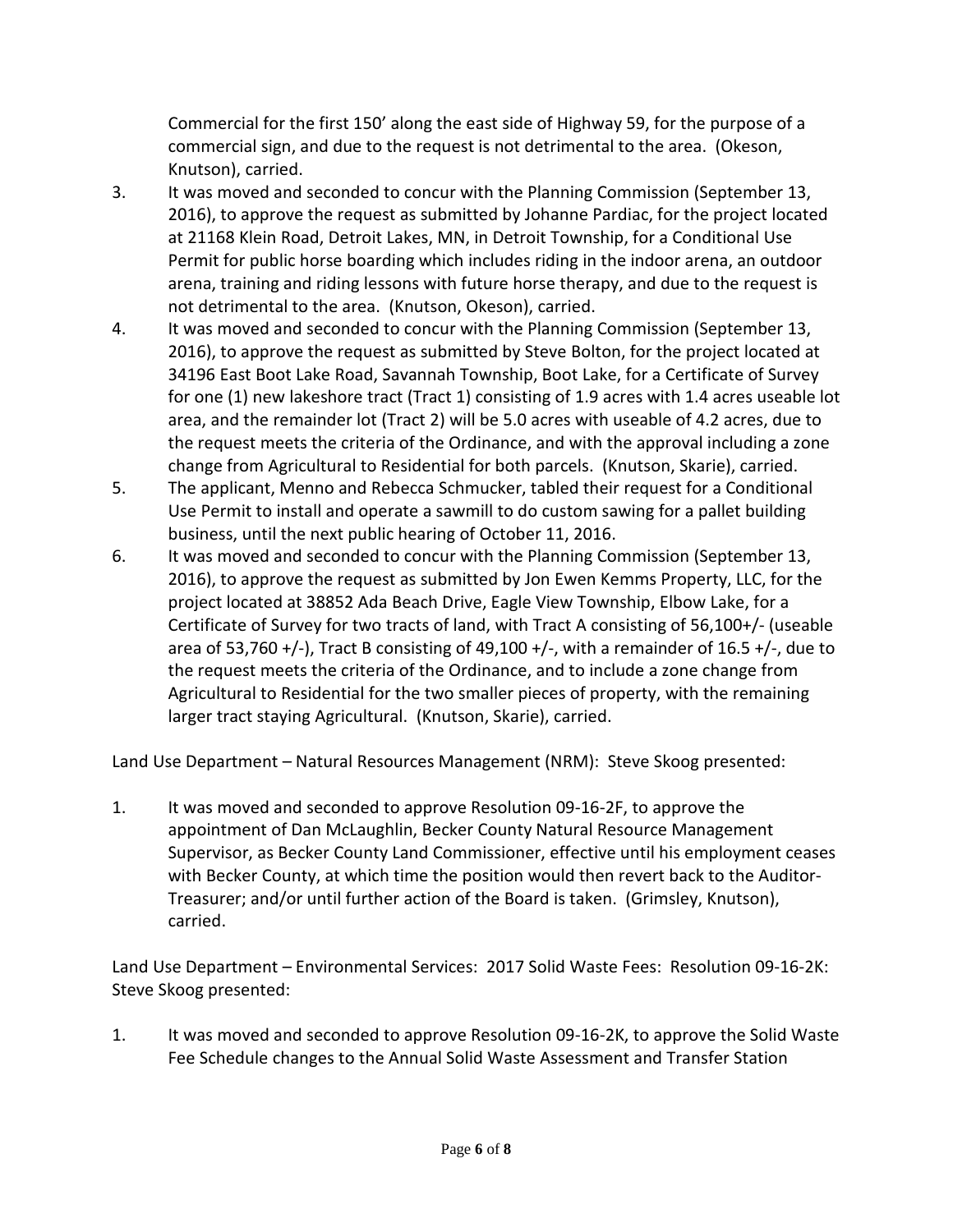Commercial for the first 150' along the east side of Highway 59, for the purpose of a commercial sign, and due to the request is not detrimental to the area. (Okeson, Knutson), carried.

- 3. It was moved and seconded to concur with the Planning Commission (September 13, 2016), to approve the request as submitted by Johanne Pardiac, for the project located at 21168 Klein Road, Detroit Lakes, MN, in Detroit Township, for a Conditional Use Permit for public horse boarding which includes riding in the indoor arena, an outdoor arena, training and riding lessons with future horse therapy, and due to the request is not detrimental to the area. (Knutson, Okeson), carried.
- 4. It was moved and seconded to concur with the Planning Commission (September 13, 2016), to approve the request as submitted by Steve Bolton, for the project located at 34196 East Boot Lake Road, Savannah Township, Boot Lake, for a Certificate of Survey for one (1) new lakeshore tract (Tract 1) consisting of 1.9 acres with 1.4 acres useable lot area, and the remainder lot (Tract 2) will be 5.0 acres with useable of 4.2 acres, due to the request meets the criteria of the Ordinance, and with the approval including a zone change from Agricultural to Residential for both parcels. (Knutson, Skarie), carried.
- 5. The applicant, Menno and Rebecca Schmucker, tabled their request for a Conditional Use Permit to install and operate a sawmill to do custom sawing for a pallet building business, until the next public hearing of October 11, 2016.
- 6. It was moved and seconded to concur with the Planning Commission (September 13, 2016), to approve the request as submitted by Jon Ewen Kemms Property, LLC, for the project located at 38852 Ada Beach Drive, Eagle View Township, Elbow Lake, for a Certificate of Survey for two tracts of land, with Tract A consisting of 56,100+/- (useable area of 53,760 +/-), Tract B consisting of 49,100 +/-, with a remainder of 16.5 +/-, due to the request meets the criteria of the Ordinance, and to include a zone change from Agricultural to Residential for the two smaller pieces of property, with the remaining larger tract staying Agricultural. (Knutson, Skarie), carried.

Land Use Department – Natural Resources Management (NRM): Steve Skoog presented:

1. It was moved and seconded to approve Resolution 09-16-2F, to approve the appointment of Dan McLaughlin, Becker County Natural Resource Management Supervisor, as Becker County Land Commissioner, effective until his employment ceases with Becker County, at which time the position would then revert back to the Auditor-Treasurer; and/or until further action of the Board is taken. (Grimsley, Knutson), carried.

Land Use Department – Environmental Services: 2017 Solid Waste Fees: Resolution 09-16-2K: Steve Skoog presented:

1. It was moved and seconded to approve Resolution 09-16-2K, to approve the Solid Waste Fee Schedule changes to the Annual Solid Waste Assessment and Transfer Station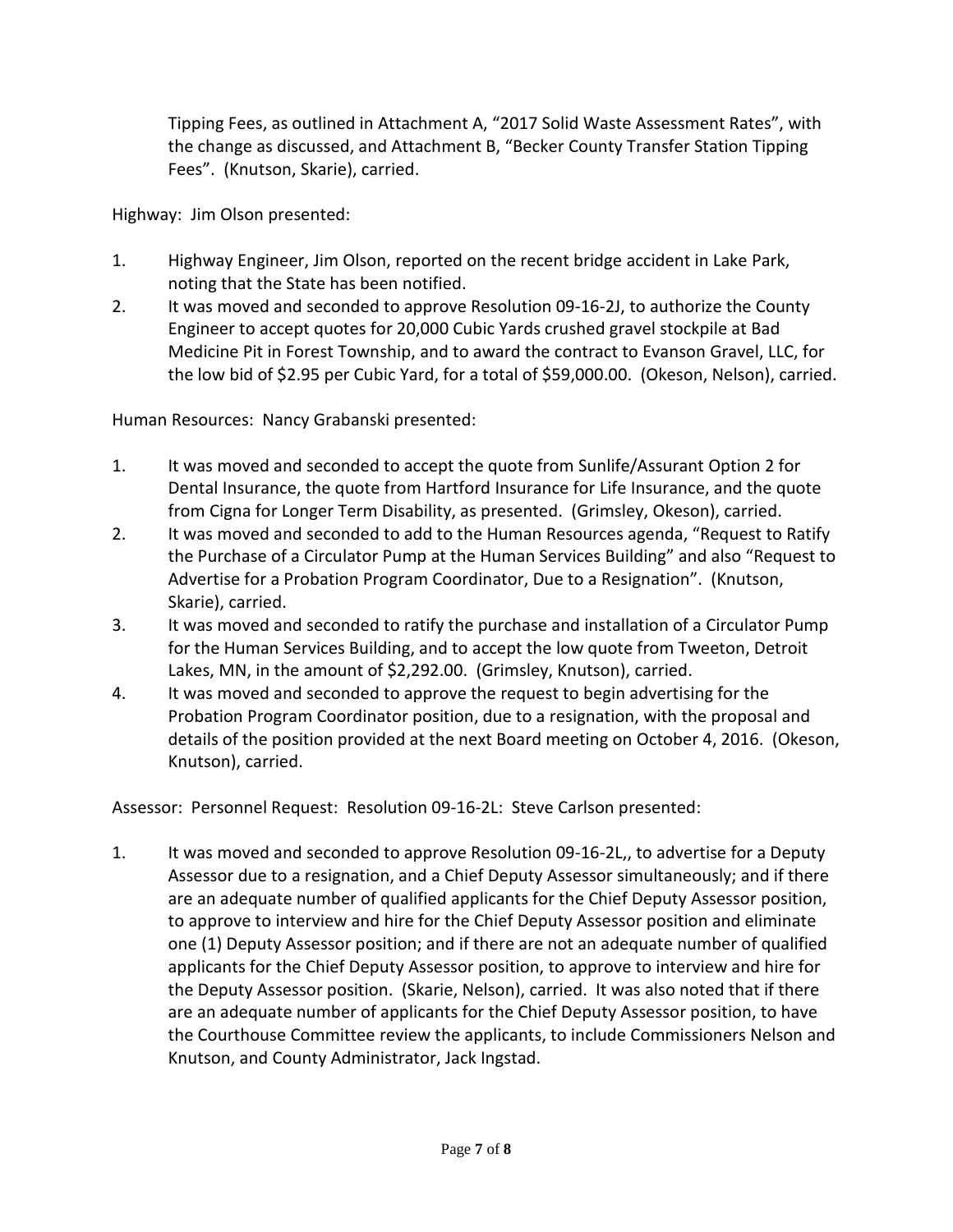Tipping Fees, as outlined in Attachment A, "2017 Solid Waste Assessment Rates", with the change as discussed, and Attachment B, "Becker County Transfer Station Tipping Fees". (Knutson, Skarie), carried.

Highway: Jim Olson presented:

- 1. Highway Engineer, Jim Olson, reported on the recent bridge accident in Lake Park, noting that the State has been notified.
- 2. It was moved and seconded to approve Resolution 09-16-2J, to authorize the County Engineer to accept quotes for 20,000 Cubic Yards crushed gravel stockpile at Bad Medicine Pit in Forest Township, and to award the contract to Evanson Gravel, LLC, for the low bid of \$2.95 per Cubic Yard, for a total of \$59,000.00. (Okeson, Nelson), carried.

Human Resources: Nancy Grabanski presented:

- 1. It was moved and seconded to accept the quote from Sunlife/Assurant Option 2 for Dental Insurance, the quote from Hartford Insurance for Life Insurance, and the quote from Cigna for Longer Term Disability, as presented. (Grimsley, Okeson), carried.
- 2. It was moved and seconded to add to the Human Resources agenda, "Request to Ratify the Purchase of a Circulator Pump at the Human Services Building" and also "Request to Advertise for a Probation Program Coordinator, Due to a Resignation". (Knutson, Skarie), carried.
- 3. It was moved and seconded to ratify the purchase and installation of a Circulator Pump for the Human Services Building, and to accept the low quote from Tweeton, Detroit Lakes, MN, in the amount of \$2,292.00. (Grimsley, Knutson), carried.
- 4. It was moved and seconded to approve the request to begin advertising for the Probation Program Coordinator position, due to a resignation, with the proposal and details of the position provided at the next Board meeting on October 4, 2016. (Okeson, Knutson), carried.

Assessor: Personnel Request: Resolution 09-16-2L: Steve Carlson presented:

1. It was moved and seconded to approve Resolution 09-16-2L,, to advertise for a Deputy Assessor due to a resignation, and a Chief Deputy Assessor simultaneously; and if there are an adequate number of qualified applicants for the Chief Deputy Assessor position, to approve to interview and hire for the Chief Deputy Assessor position and eliminate one (1) Deputy Assessor position; and if there are not an adequate number of qualified applicants for the Chief Deputy Assessor position, to approve to interview and hire for the Deputy Assessor position. (Skarie, Nelson), carried. It was also noted that if there are an adequate number of applicants for the Chief Deputy Assessor position, to have the Courthouse Committee review the applicants, to include Commissioners Nelson and Knutson, and County Administrator, Jack Ingstad.